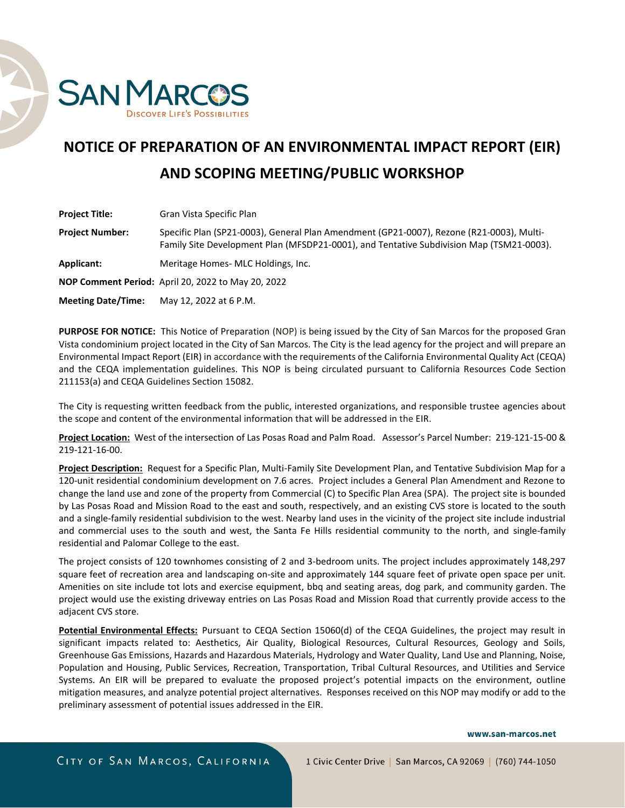

## **NOTICE OF PREPARATION OF AN ENVIRONMENTAL IMPACT REPORT (EIR) AND SCOPING MEETING/PUBLIC WORKSHOP**

| <b>Project Title:</b>     | Gran Vista Specific Plan                                                                                                                                                             |
|---------------------------|--------------------------------------------------------------------------------------------------------------------------------------------------------------------------------------|
| <b>Project Number:</b>    | Specific Plan (SP21-0003), General Plan Amendment (GP21-0007), Rezone (R21-0003), Multi-<br>Family Site Development Plan (MFSDP21-0001), and Tentative Subdivision Map (TSM21-0003). |
| Applicant:                | Meritage Homes- MLC Holdings, Inc.                                                                                                                                                   |
|                           | <b>NOP Comment Period:</b> April 20, 2022 to May 20, 2022                                                                                                                            |
| <b>Meeting Date/Time:</b> | May 12, 2022 at 6 P.M.                                                                                                                                                               |

**PURPOSE FOR NOTICE:** This Notice of Preparation (NOP) is being issued by the City of San Marcos for the proposed Gran Vista condominium project located in the City of San Marcos. The City is the lead agency for the project and will prepare an Environmental Impact Report (EIR) in accordance with the requirements of the California Environmental Quality Act (CEQA) and the CEQA implementation guidelines. This NOP is being circulated pursuant to California Resources Code Section 211153(a) and CEQA Guidelines Section 15082.

The City is requesting written feedback from the public, interested organizations, and responsible trustee agencies about the scope and content of the environmental information that will be addressed in the EIR.

**Project Location:** West of the intersection of Las Posas Road and Palm Road. Assessor's Parcel Number: 219-121-15-00 & 219-121-16-00.

**Project Description:** Request for a Specific Plan, Multi-Family Site Development Plan, and Tentative Subdivision Map for a 120-unit residential condominium development on 7.6 acres. Project includes a General Plan Amendment and Rezone to change the land use and zone of the property from Commercial (C) to Specific Plan Area (SPA). The project site is bounded by Las Posas Road and Mission Road to the east and south, respectively, and an existing CVS store is located to the south and a single-family residential subdivision to the west. Nearby land uses in the vicinity of the project site include industrial and commercial uses to the south and west, the Santa Fe Hills residential community to the north, and single-family residential and Palomar College to the east.

The project consists of 120 townhomes consisting of 2 and 3-bedroom units. The project includes approximately 148,297 square feet of recreation area and landscaping on-site and approximately 144 square feet of private open space per unit. Amenities on site include tot lots and exercise equipment, bbq and seating areas, dog park, and community garden. The project would use the existing driveway entries on Las Posas Road and Mission Road that currently provide access to the adjacent CVS store.

**Potential Environmental Effects:** Pursuant to CEQA Section 15060(d) of the CEQA Guidelines, the project may result in significant impacts related to: Aesthetics, Air Quality, Biological Resources, Cultural Resources, Geology and Soils, Greenhouse Gas Emissions, Hazards and Hazardous Materials, Hydrology and Water Quality, Land Use and Planning, Noise, Population and Housing, Public Services, Recreation, Transportation, Tribal Cultural Resources, and Utilities and Service Systems. An EIR will be prepared to evaluate the proposed project's potential impacts on the environment, outline mitigation measures, and analyze potential project alternatives. Responses received on this NOP may modify or add to the preliminary assessment of potential issues addressed in the EIR.

www.san-marcos.net

CITY OF SAN MARCOS, CALIFORNIA

1 Civic Center Drive | San Marcos, CA 92069 | (760) 744-1050